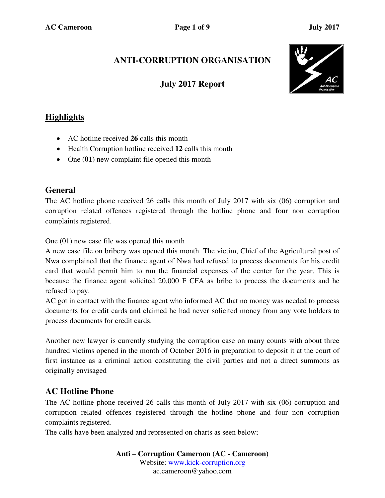# **ANTI-CORRUPTION ORGANISATION**

# **July 2017 Report**



### **Highlights**

- AC hotline received **26** calls this month
- Health Corruption hotline received **12** calls this month
- One (01) new complaint file opened this month

### **General**

The AC hotline phone received 26 calls this month of July 2017 with six (06) corruption and corruption related offences registered through the hotline phone and four non corruption complaints registered.

One (01) new case file was opened this month

A new case file on bribery was opened this month. The victim, Chief of the Agricultural post of Nwa complained that the finance agent of Nwa had refused to process documents for his credit card that would permit him to run the financial expenses of the center for the year. This is because the finance agent solicited 20,000 F CFA as bribe to process the documents and he refused to pay.

AC got in contact with the finance agent who informed AC that no money was needed to process documents for credit cards and claimed he had never solicited money from any vote holders to process documents for credit cards.

Another new lawyer is currently studying the corruption case on many counts with about three hundred victims opened in the month of October 2016 in preparation to deposit it at the court of first instance as a criminal action constituting the civil parties and not a direct summons as originally envisaged

### **AC Hotline Phone**

The AC hotline phone received 26 calls this month of July 2017 with six (06) corruption and corruption related offences registered through the hotline phone and four non corruption complaints registered.

The calls have been analyzed and represented on charts as seen below;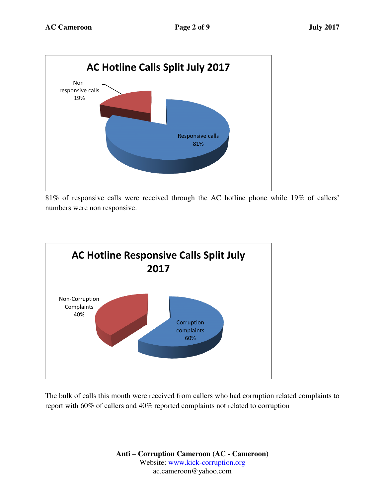

81% of responsive calls were received through the AC hotline phone while 19% of callers' numbers were non responsive.



The bulk of calls this month were received from callers who had corruption related complaints to report with 60% of callers and 40% reported complaints not related to corruption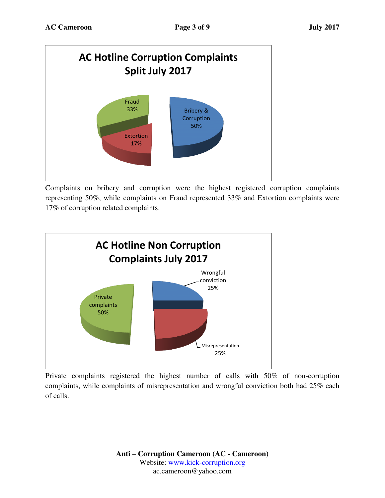

Complaints on bribery and corruption were the highest registered corruption complaints representing 50%, while complaints on Fraud represented 33% and Extortion complaints were 17% of corruption related complaints.



Private complaints registered the highest number of calls with 50% of non-corruption complaints, while complaints of misrepresentation and wrongful conviction both had 25% each of calls.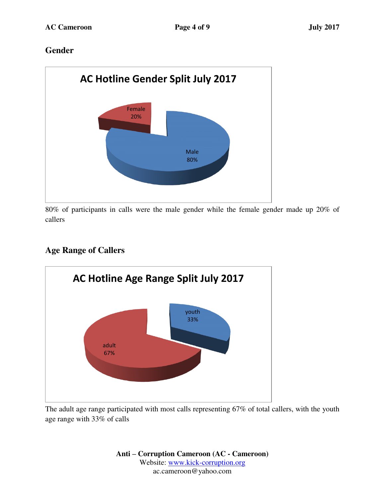### **Gender**



80% of participants in calls were the male gender while the female gender made up 20% of callers

# **Age Range of Callers**



The adult age range participated with most calls representing 67% of total callers, with the youth age range with 33% of calls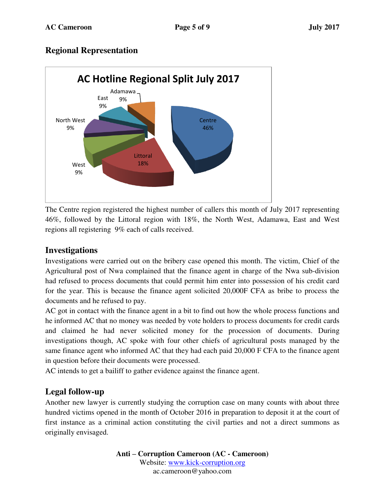### **Regional Representation**



The Centre region registered the highest number of callers this month of July 2017 representing 46%, followed by the Littoral region with 18%, the North West, Adamawa, East and West regions all registering 9% each of calls received.

#### **Investigations**

Investigations were carried out on the bribery case opened this month. The victim, Chief of the Agricultural post of Nwa complained that the finance agent in charge of the Nwa sub-division had refused to process documents that could permit him enter into possession of his credit card for the year. This is because the finance agent solicited 20,000F CFA as bribe to process the documents and he refused to pay.

AC got in contact with the finance agent in a bit to find out how the whole process functions and he informed AC that no money was needed by vote holders to process documents for credit cards and claimed he had never solicited money for the procession of documents. During investigations though, AC spoke with four other chiefs of agricultural posts managed by the same finance agent who informed AC that they had each paid 20,000 F CFA to the finance agent in question before their documents were processed.

AC intends to get a bailiff to gather evidence against the finance agent.

### **Legal follow-up**

Another new lawyer is currently studying the corruption case on many counts with about three hundred victims opened in the month of October 2016 in preparation to deposit it at the court of first instance as a criminal action constituting the civil parties and not a direct summons as originally envisaged.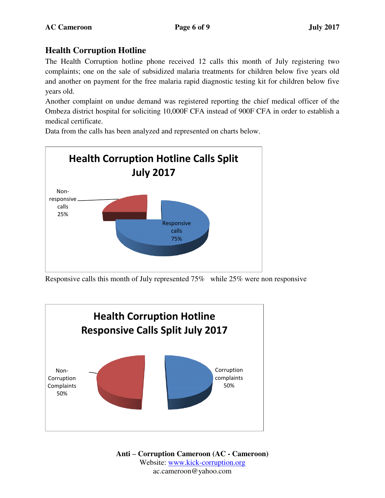### **Health Corruption Hotline**

The Health Corruption hotline phone received 12 calls this month of July registering two complaints; one on the sale of subsidized malaria treatments for children below five years old and another on payment for the free malaria rapid diagnostic testing kit for children below five years old.

Another complaint on undue demand was registered reporting the chief medical officer of the Ombeza district hospital for soliciting 10,000F CFA instead of 900F CFA in order to establish a medical certificate.

Data from the calls has been analyzed and represented on charts below.



Responsive calls this month of July represented 75% while 25% were non responsive

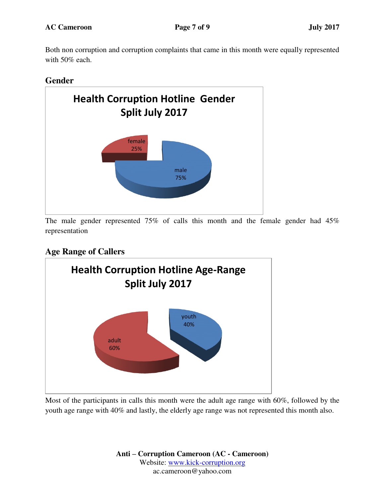Both non corruption and corruption complaints that came in this month were equally represented with 50% each.

#### **Gender**



The male gender represented 75% of calls this month and the female gender had 45% representation

## **Age Range of Callers**



Most of the participants in calls this month were the adult age range with 60%, followed by the youth age range with 40% and lastly, the elderly age range was not represented this month also.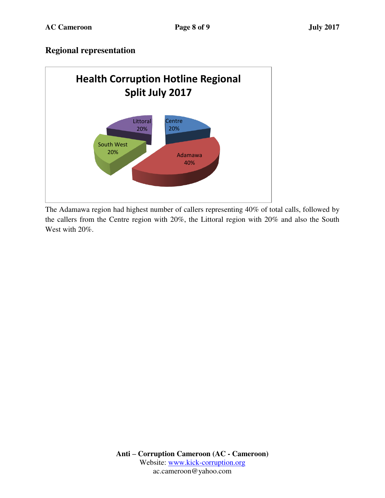#### **Regional representation**



The Adamawa region had highest number of callers representing 40% of total calls, followed by the callers from the Centre region with 20%, the Littoral region with 20% and also the South West with 20%.